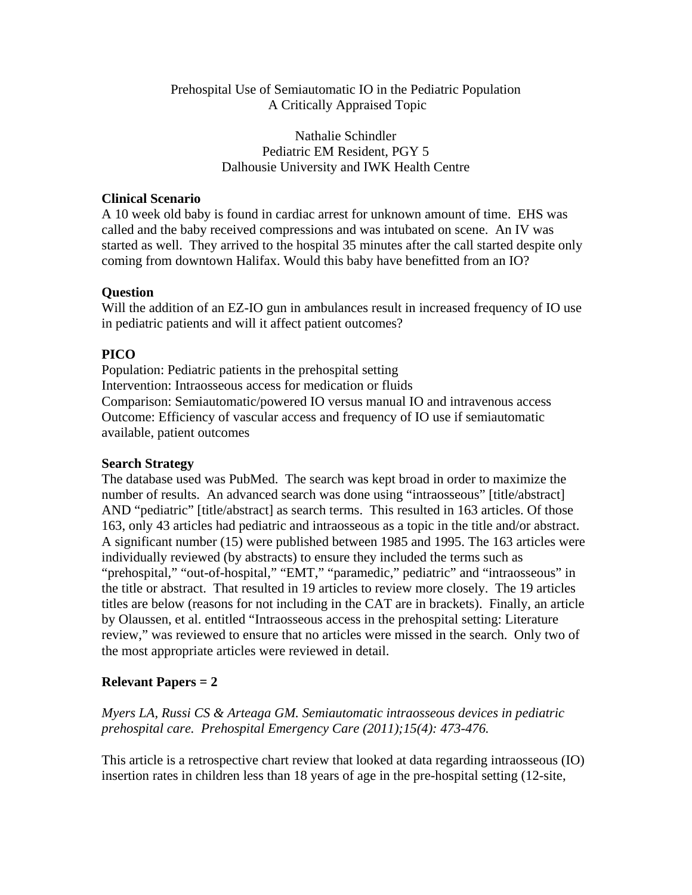#### Prehospital Use of Semiautomatic IO in the Pediatric Population A Critically Appraised Topic

Nathalie Schindler Pediatric EM Resident, PGY 5 Dalhousie University and IWK Health Centre

#### **Clinical Scenario**

A 10 week old baby is found in cardiac arrest for unknown amount of time. EHS was called and the baby received compressions and was intubated on scene. An IV was started as well. They arrived to the hospital 35 minutes after the call started despite only coming from downtown Halifax. Would this baby have benefitted from an IO?

#### **Question**

Will the addition of an EZ-IO gun in ambulances result in increased frequency of IO use in pediatric patients and will it affect patient outcomes?

# **PICO**

Population: Pediatric patients in the prehospital setting Intervention: Intraosseous access for medication or fluids Comparison: Semiautomatic/powered IO versus manual IO and intravenous access Outcome: Efficiency of vascular access and frequency of IO use if semiautomatic available, patient outcomes

## **Search Strategy**

The database used was PubMed. The search was kept broad in order to maximize the number of results. An advanced search was done using "intraosseous" [title/abstract] AND "pediatric" [title/abstract] as search terms. This resulted in 163 articles. Of those 163, only 43 articles had pediatric and intraosseous as a topic in the title and/or abstract. A significant number (15) were published between 1985 and 1995. The 163 articles were individually reviewed (by abstracts) to ensure they included the terms such as "prehospital," "out-of-hospital," "EMT," "paramedic," pediatric" and "intraosseous" in the title or abstract. That resulted in 19 articles to review more closely. The 19 articles titles are below (reasons for not including in the CAT are in brackets). Finally, an article by Olaussen, et al. entitled "Intraosseous access in the prehospital setting: Literature review," was reviewed to ensure that no articles were missed in the search. Only two of the most appropriate articles were reviewed in detail.

## **Relevant Papers = 2**

*Myers LA, Russi CS & Arteaga GM. Semiautomatic intraosseous devices in pediatric prehospital care. Prehospital Emergency Care (2011);15(4): 473-476.* 

This article is a retrospective chart review that looked at data regarding intraosseous (IO) insertion rates in children less than 18 years of age in the pre-hospital setting (12-site,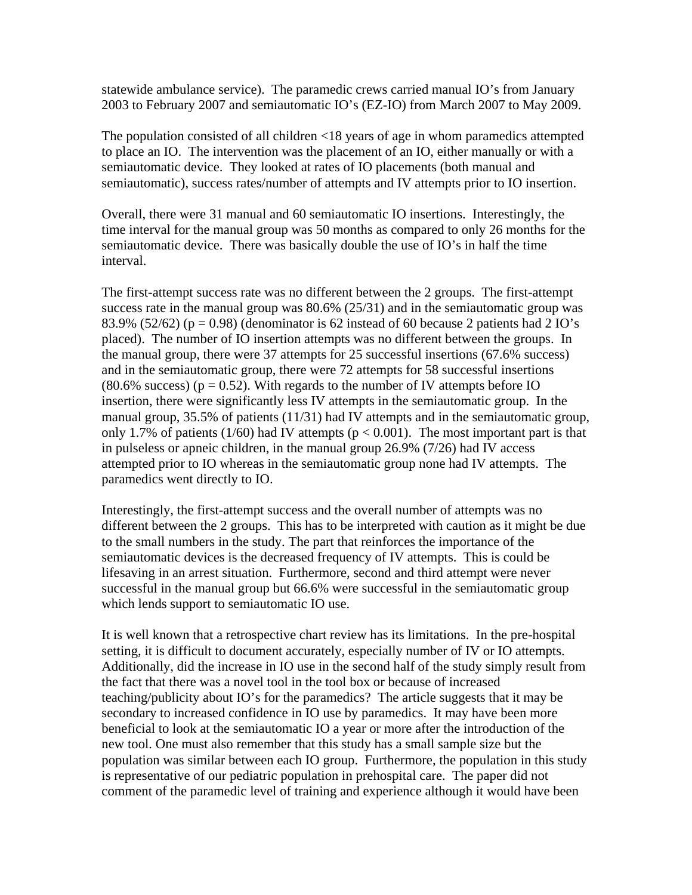statewide ambulance service). The paramedic crews carried manual IO's from January 2003 to February 2007 and semiautomatic IO's (EZ-IO) from March 2007 to May 2009.

The population consisted of all children <18 years of age in whom paramedics attempted to place an IO. The intervention was the placement of an IO, either manually or with a semiautomatic device. They looked at rates of IO placements (both manual and semiautomatic), success rates/number of attempts and IV attempts prior to IO insertion.

Overall, there were 31 manual and 60 semiautomatic IO insertions. Interestingly, the time interval for the manual group was 50 months as compared to only 26 months for the semiautomatic device. There was basically double the use of IO's in half the time interval.

The first-attempt success rate was no different between the 2 groups. The first-attempt success rate in the manual group was 80.6% (25/31) and in the semiautomatic group was 83.9% (52/62) ( $p = 0.98$ ) (denominator is 62 instead of 60 because 2 patients had 2 IO's placed). The number of IO insertion attempts was no different between the groups. In the manual group, there were 37 attempts for 25 successful insertions (67.6% success) and in the semiautomatic group, there were 72 attempts for 58 successful insertions (80.6% success) ( $p = 0.52$ ). With regards to the number of IV attempts before IO insertion, there were significantly less IV attempts in the semiautomatic group. In the manual group, 35.5% of patients (11/31) had IV attempts and in the semiautomatic group, only 1.7% of patients (1/60) had IV attempts ( $p < 0.001$ ). The most important part is that in pulseless or apneic children, in the manual group 26.9% (7/26) had IV access attempted prior to IO whereas in the semiautomatic group none had IV attempts. The paramedics went directly to IO.

Interestingly, the first-attempt success and the overall number of attempts was no different between the 2 groups. This has to be interpreted with caution as it might be due to the small numbers in the study. The part that reinforces the importance of the semiautomatic devices is the decreased frequency of IV attempts. This is could be lifesaving in an arrest situation. Furthermore, second and third attempt were never successful in the manual group but 66.6% were successful in the semiautomatic group which lends support to semiautomatic IO use.

It is well known that a retrospective chart review has its limitations. In the pre-hospital setting, it is difficult to document accurately, especially number of IV or IO attempts. Additionally, did the increase in IO use in the second half of the study simply result from the fact that there was a novel tool in the tool box or because of increased teaching/publicity about IO's for the paramedics? The article suggests that it may be secondary to increased confidence in IO use by paramedics. It may have been more beneficial to look at the semiautomatic IO a year or more after the introduction of the new tool. One must also remember that this study has a small sample size but the population was similar between each IO group. Furthermore, the population in this study is representative of our pediatric population in prehospital care. The paper did not comment of the paramedic level of training and experience although it would have been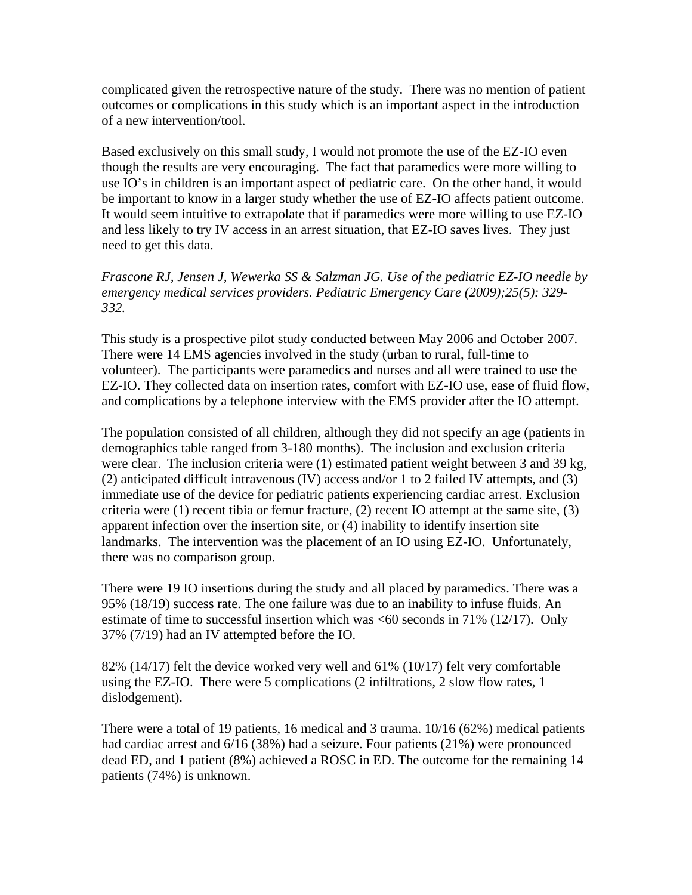complicated given the retrospective nature of the study. There was no mention of patient outcomes or complications in this study which is an important aspect in the introduction of a new intervention/tool.

Based exclusively on this small study, I would not promote the use of the EZ-IO even though the results are very encouraging. The fact that paramedics were more willing to use IO's in children is an important aspect of pediatric care. On the other hand, it would be important to know in a larger study whether the use of EZ-IO affects patient outcome. It would seem intuitive to extrapolate that if paramedics were more willing to use EZ-IO and less likely to try IV access in an arrest situation, that EZ-IO saves lives. They just need to get this data.

#### *Frascone RJ, Jensen J, Wewerka SS & Salzman JG. Use of the pediatric EZ-IO needle by emergency medical services providers. Pediatric Emergency Care (2009);25(5): 329- 332.*

This study is a prospective pilot study conducted between May 2006 and October 2007. There were 14 EMS agencies involved in the study (urban to rural, full-time to volunteer). The participants were paramedics and nurses and all were trained to use the EZ-IO. They collected data on insertion rates, comfort with EZ-IO use, ease of fluid flow, and complications by a telephone interview with the EMS provider after the IO attempt.

The population consisted of all children, although they did not specify an age (patients in demographics table ranged from 3-180 months). The inclusion and exclusion criteria were clear. The inclusion criteria were (1) estimated patient weight between 3 and 39 kg, (2) anticipated difficult intravenous (IV) access and/or 1 to 2 failed IV attempts, and (3) immediate use of the device for pediatric patients experiencing cardiac arrest. Exclusion criteria were (1) recent tibia or femur fracture, (2) recent IO attempt at the same site, (3) apparent infection over the insertion site, or (4) inability to identify insertion site landmarks. The intervention was the placement of an IO using EZ-IO. Unfortunately, there was no comparison group.

There were 19 IO insertions during the study and all placed by paramedics. There was a 95% (18/19) success rate. The one failure was due to an inability to infuse fluids. An estimate of time to successful insertion which was <60 seconds in 71% (12/17). Only 37% (7/19) had an IV attempted before the IO.

82% (14/17) felt the device worked very well and 61% (10/17) felt very comfortable using the EZ-IO. There were 5 complications (2 infiltrations, 2 slow flow rates, 1 dislodgement).

There were a total of 19 patients, 16 medical and 3 trauma. 10/16 (62%) medical patients had cardiac arrest and 6/16 (38%) had a seizure. Four patients (21%) were pronounced dead ED, and 1 patient (8%) achieved a ROSC in ED. The outcome for the remaining 14 patients (74%) is unknown.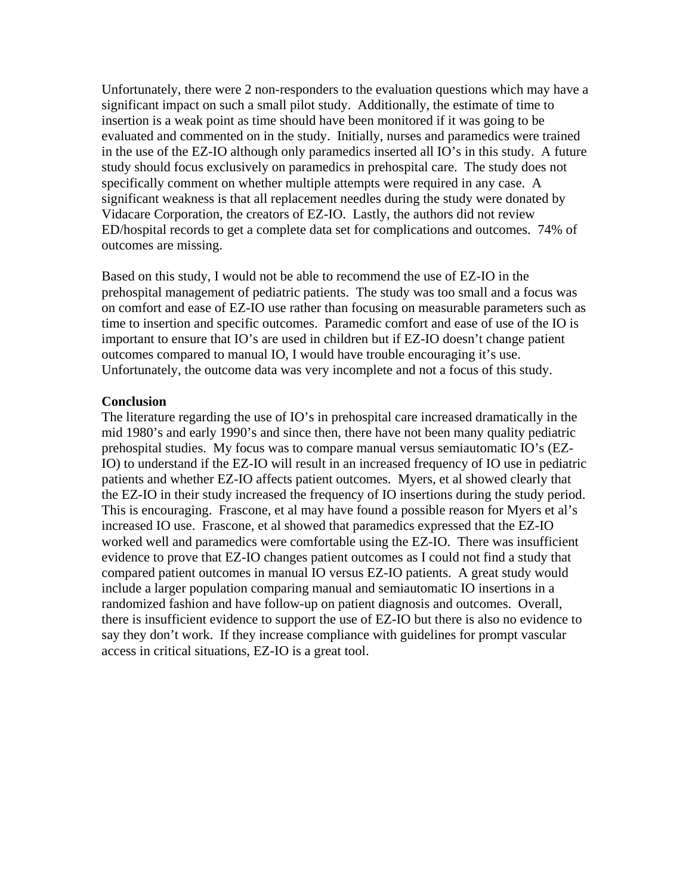Unfortunately, there were 2 non-responders to the evaluation questions which may have a significant impact on such a small pilot study. Additionally, the estimate of time to insertion is a weak point as time should have been monitored if it was going to be evaluated and commented on in the study. Initially, nurses and paramedics were trained in the use of the EZ-IO although only paramedics inserted all IO's in this study. A future study should focus exclusively on paramedics in prehospital care. The study does not specifically comment on whether multiple attempts were required in any case. A significant weakness is that all replacement needles during the study were donated by Vidacare Corporation, the creators of EZ-IO. Lastly, the authors did not review ED/hospital records to get a complete data set for complications and outcomes. 74% of outcomes are missing.

Based on this study, I would not be able to recommend the use of EZ-IO in the prehospital management of pediatric patients. The study was too small and a focus was on comfort and ease of EZ-IO use rather than focusing on measurable parameters such as time to insertion and specific outcomes. Paramedic comfort and ease of use of the IO is important to ensure that IO's are used in children but if EZ-IO doesn't change patient outcomes compared to manual IO, I would have trouble encouraging it's use. Unfortunately, the outcome data was very incomplete and not a focus of this study.

#### **Conclusion**

The literature regarding the use of IO's in prehospital care increased dramatically in the mid 1980's and early 1990's and since then, there have not been many quality pediatric prehospital studies. My focus was to compare manual versus semiautomatic IO's (EZ-IO) to understand if the EZ-IO will result in an increased frequency of IO use in pediatric patients and whether EZ-IO affects patient outcomes. Myers, et al showed clearly that the EZ-IO in their study increased the frequency of IO insertions during the study period. This is encouraging. Frascone, et al may have found a possible reason for Myers et al's increased IO use. Frascone, et al showed that paramedics expressed that the EZ-IO worked well and paramedics were comfortable using the EZ-IO. There was insufficient evidence to prove that EZ-IO changes patient outcomes as I could not find a study that compared patient outcomes in manual IO versus EZ-IO patients. A great study would include a larger population comparing manual and semiautomatic IO insertions in a randomized fashion and have follow-up on patient diagnosis and outcomes. Overall, there is insufficient evidence to support the use of EZ-IO but there is also no evidence to say they don't work. If they increase compliance with guidelines for prompt vascular access in critical situations, EZ-IO is a great tool.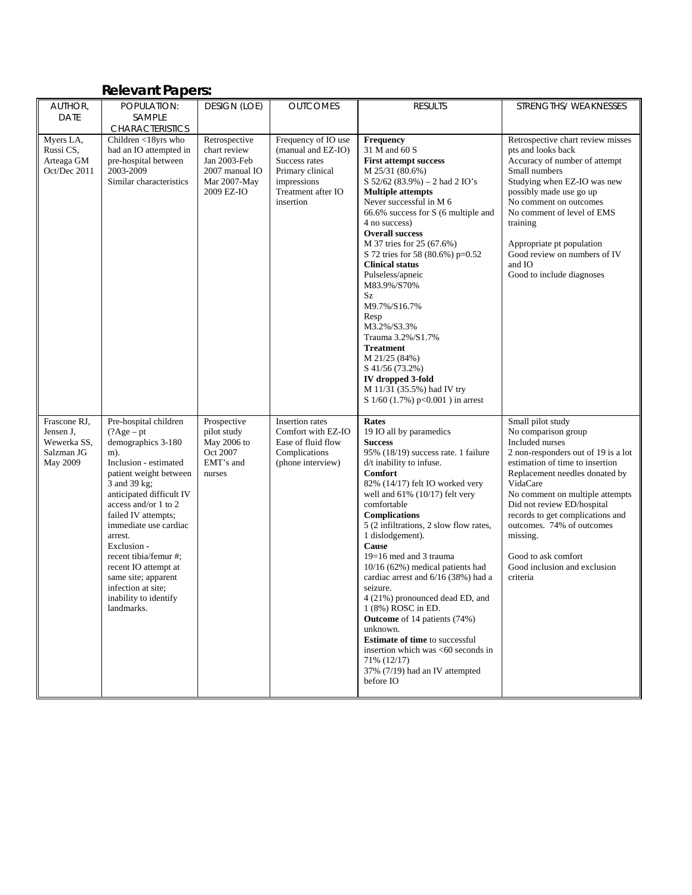# **Relevant Papers:**

| AUTHOR,                                                            | POPULATION:                                                                                                                                                                                                                                                                                                                                                                                               | DESIGN (LOE)                                                                                  | <b>OUTCOMES</b>                                                                                                                  | <b>RESULTS</b>                                                                                                                                                                                                                                                                                                                                                                                                                                                                                                                                                                                                                                                                                                  | STRENGTHS/WEAKNESSES                                                                                                                                                                                                                                                                                                                                                                                 |
|--------------------------------------------------------------------|-----------------------------------------------------------------------------------------------------------------------------------------------------------------------------------------------------------------------------------------------------------------------------------------------------------------------------------------------------------------------------------------------------------|-----------------------------------------------------------------------------------------------|----------------------------------------------------------------------------------------------------------------------------------|-----------------------------------------------------------------------------------------------------------------------------------------------------------------------------------------------------------------------------------------------------------------------------------------------------------------------------------------------------------------------------------------------------------------------------------------------------------------------------------------------------------------------------------------------------------------------------------------------------------------------------------------------------------------------------------------------------------------|------------------------------------------------------------------------------------------------------------------------------------------------------------------------------------------------------------------------------------------------------------------------------------------------------------------------------------------------------------------------------------------------------|
| <b>DATE</b>                                                        | SAMPLE                                                                                                                                                                                                                                                                                                                                                                                                    |                                                                                               |                                                                                                                                  |                                                                                                                                                                                                                                                                                                                                                                                                                                                                                                                                                                                                                                                                                                                 |                                                                                                                                                                                                                                                                                                                                                                                                      |
|                                                                    | <b>CHARACTERISTICS</b>                                                                                                                                                                                                                                                                                                                                                                                    |                                                                                               |                                                                                                                                  |                                                                                                                                                                                                                                                                                                                                                                                                                                                                                                                                                                                                                                                                                                                 |                                                                                                                                                                                                                                                                                                                                                                                                      |
| Myers LA,<br>Russi CS,<br>Arteaga GM<br>Oct/Dec 2011               | Children <18yrs who<br>had an IO attempted in<br>pre-hospital between<br>2003-2009<br>Similar characteristics                                                                                                                                                                                                                                                                                             | Retrospective<br>chart review<br>Jan 2003-Feb<br>2007 manual IO<br>Mar 2007-May<br>2009 EZ-IO | Frequency of IO use<br>(manual and EZ-IO)<br>Success rates<br>Primary clinical<br>impressions<br>Treatment after IO<br>insertion | <b>Frequency</b><br>31 M and 60 S<br><b>First attempt success</b><br>M 25/31 (80.6%)<br>$S$ 52/62 (83.9%) – 2 had 2 IO's<br><b>Multiple attempts</b><br>Never successful in M 6<br>66.6% success for S (6 multiple and<br>4 no success)<br><b>Overall success</b><br>M 37 tries for 25 (67.6%)<br>S 72 tries for 58 (80.6%) p=0.52<br><b>Clinical status</b><br>Pulseless/apneic<br>M83.9%/S70%<br>Sz<br>M9.7%/S16.7%<br>Resp<br>M3.2%/S3.3%<br>Trauma 3.2%/S1.7%<br>Treatment<br>M 21/25 (84%)<br>S 41/56 (73.2%)<br>IV dropped 3-fold<br>M 11/31 (35.5%) had IV try<br>S $1/60$ (1.7%) p<0.001) in arrest                                                                                                     | Retrospective chart review misses<br>pts and looks back<br>Accuracy of number of attempt<br>Small numbers<br>Studying when EZ-IO was new<br>possibly made use go up<br>No comment on outcomes<br>No comment of level of EMS<br>training<br>Appropriate pt population<br>Good review on numbers of IV<br>and IO<br>Good to include diagnoses                                                          |
| Frascone RJ,<br>Jensen J,<br>Wewerka SS,<br>Salzman JG<br>May 2009 | Pre-hospital children<br>$(?Age - pt)$<br>demographics 3-180<br>m).<br>Inclusion - estimated<br>patient weight between<br>3 and 39 kg;<br>anticipated difficult IV<br>access and/or 1 to 2<br>failed IV attempts;<br>immediate use cardiac<br>arrest.<br>Exclusion -<br>recent tibia/femur #;<br>recent IO attempt at<br>same site; apparent<br>infection at site;<br>inability to identify<br>landmarks. | Prospective<br>pilot study<br>May 2006 to<br>Oct 2007<br>EMT's and<br>nurses                  | Insertion rates<br>Comfort with EZ-IO<br>Ease of fluid flow<br>Complications<br>(phone interview)                                | Rates<br>19 IO all by paramedics<br><b>Success</b><br>95% (18/19) success rate. 1 failure<br>d/t inability to infuse.<br><b>Comfort</b><br>82% (14/17) felt IO worked very<br>well and $61\%$ ( $10/17$ ) felt very<br>comfortable<br><b>Complications</b><br>5 (2 infiltrations, 2 slow flow rates,<br>1 dislodgement).<br>Cause<br>$19=16$ med and 3 trauma<br>$10/16$ (62%) medical patients had<br>cardiac arrest and 6/16 (38%) had a<br>seizure.<br>4 (21%) pronounced dead ED, and<br>1 (8%) ROSC in ED.<br><b>Outcome</b> of 14 patients (74%)<br>unknown.<br><b>Estimate of time</b> to successful<br>insertion which was <60 seconds in<br>71% (12/17)<br>37% (7/19) had an IV attempted<br>before IO | Small pilot study<br>No comparison group<br>Included nurses<br>2 non-responders out of 19 is a lot<br>estimation of time to insertion<br>Replacement needles donated by<br>VidaCare<br>No comment on multiple attempts<br>Did not review ED/hospital<br>records to get complications and<br>outcomes. 74% of outcomes<br>missing.<br>Good to ask comfort<br>Good inclusion and exclusion<br>criteria |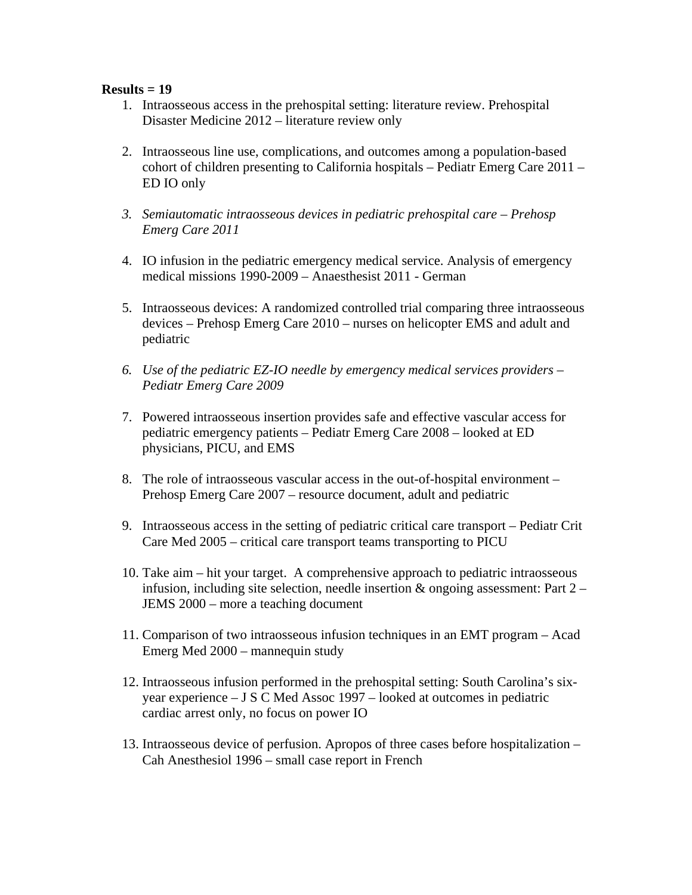#### **Results = 19**

- 1. Intraosseous access in the prehospital setting: literature review. Prehospital Disaster Medicine 2012 – literature review only
- 2. Intraosseous line use, complications, and outcomes among a population-based cohort of children presenting to California hospitals – Pediatr Emerg Care 2011 – ED IO only
- *3. Semiautomatic intraosseous devices in pediatric prehospital care Prehosp Emerg Care 2011*
- 4. IO infusion in the pediatric emergency medical service. Analysis of emergency medical missions 1990-2009 – Anaesthesist 2011 - German
- 5. Intraosseous devices: A randomized controlled trial comparing three intraosseous devices – Prehosp Emerg Care 2010 – nurses on helicopter EMS and adult and pediatric
- *6. Use of the pediatric EZ-IO needle by emergency medical services providers Pediatr Emerg Care 2009*
- 7. Powered intraosseous insertion provides safe and effective vascular access for pediatric emergency patients – Pediatr Emerg Care 2008 – looked at ED physicians, PICU, and EMS
- 8. The role of intraosseous vascular access in the out-of-hospital environment Prehosp Emerg Care 2007 – resource document, adult and pediatric
- 9. Intraosseous access in the setting of pediatric critical care transport Pediatr Crit Care Med 2005 – critical care transport teams transporting to PICU
- 10. Take aim hit your target. A comprehensive approach to pediatric intraosseous infusion, including site selection, needle insertion  $\&$  ongoing assessment: Part 2 – JEMS 2000 – more a teaching document
- 11. Comparison of two intraosseous infusion techniques in an EMT program Acad Emerg Med 2000 – mannequin study
- 12. Intraosseous infusion performed in the prehospital setting: South Carolina's sixyear experience – J S C Med Assoc 1997 – looked at outcomes in pediatric cardiac arrest only, no focus on power IO
- 13. Intraosseous device of perfusion. Apropos of three cases before hospitalization Cah Anesthesiol 1996 – small case report in French